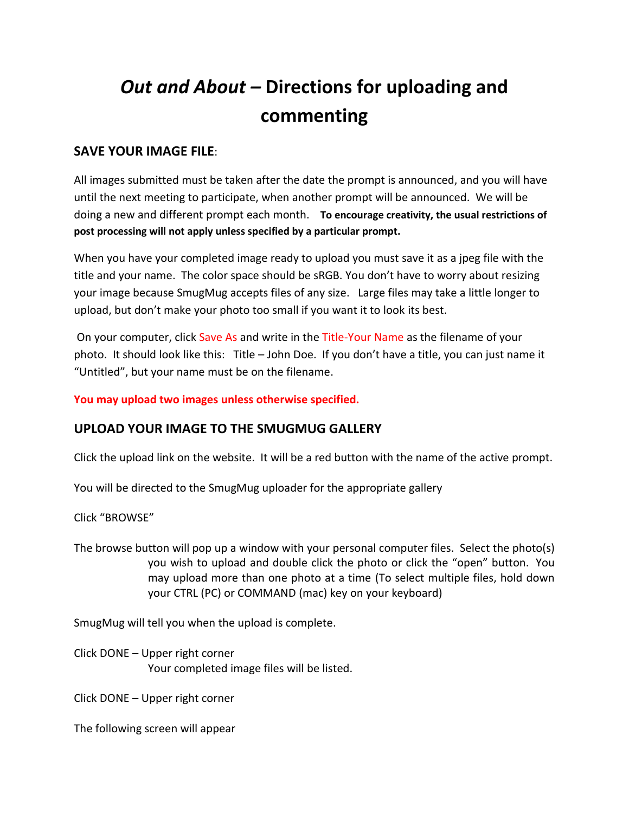# *Out and About –* **Directions for uploading and commenting**

## **SAVE YOUR IMAGE FILE**:

All images submitted must be taken after the date the prompt is announced, and you will have until the next meeting to participate, when another prompt will be announced. We will be doing a new and different prompt each month. **To encourage creativity, the usual restrictions of post processing will not apply unless specified by a particular prompt.**

When you have your completed image ready to upload you must save it as a jpeg file with the title and your name. The color space should be sRGB. You don't have to worry about resizing your image because SmugMug accepts files of any size. Large files may take a little longer to upload, but don't make your photo too small if you want it to look its best.

On your computer, click Save As and write in the Title-Your Name as the filename of your photo. It should look like this: Title – John Doe. If you don't have a title, you can just name it "Untitled", but your name must be on the filename.

**You may upload two images unless otherwise specified.**

# **UPLOAD YOUR IMAGE TO THE SMUGMUG GALLERY**

Click the upload link on the website. It will be a red button with the name of the active prompt.

You will be directed to the SmugMug uploader for the appropriate gallery

Click "BROWSE"

The browse button will pop up a window with your personal computer files. Select the photo(s) you wish to upload and double click the photo or click the "open" button. You may upload more than one photo at a time (To select multiple files, hold down your CTRL (PC) or COMMAND (mac) key on your keyboard)

SmugMug will tell you when the upload is complete.

Click DONE – Upper right corner Your completed image files will be listed.

Click DONE – Upper right corner

The following screen will appear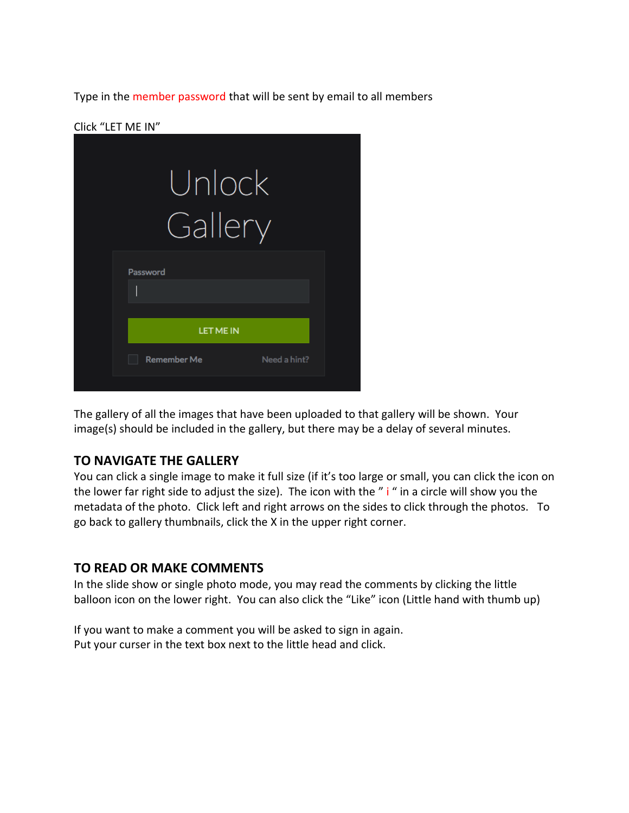Type in the member password that will be sent by email to all members

#### Click "LET ME IN"

| Unlock             |              |
|--------------------|--------------|
| Gallery            |              |
| Password           |              |
| <b>LET ME IN</b>   |              |
| <b>Remember Me</b> | Need a hint? |

The gallery of all the images that have been uploaded to that gallery will be shown. Your image(s) should be included in the gallery, but there may be a delay of several minutes.

## **TO NAVIGATE THE GALLERY**

You can click a single image to make it full size (if it's too large or small, you can click the icon on the lower far right side to adjust the size). The icon with the " i " in a circle will show you the metadata of the photo. Click left and right arrows on the sides to click through the photos. To go back to gallery thumbnails, click the X in the upper right corner.

#### **TO READ OR MAKE COMMENTS**

In the slide show or single photo mode, you may read the comments by clicking the little balloon icon on the lower right. You can also click the "Like" icon (Little hand with thumb up)

If you want to make a comment you will be asked to sign in again. Put your curser in the text box next to the little head and click.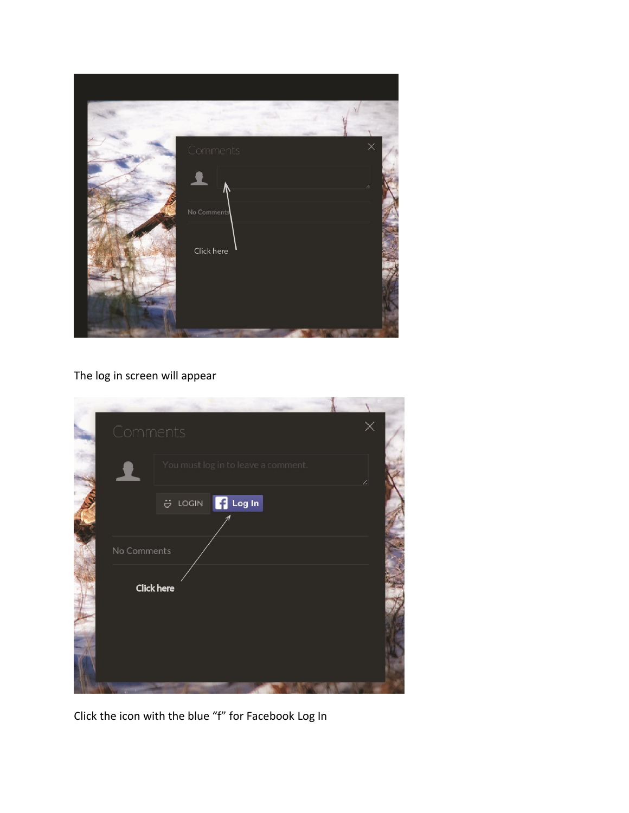

# The log in screen will appear

| Comments          |                                     | ×  |
|-------------------|-------------------------------------|----|
|                   | You must log in to leave a comment. | B. |
|                   | UOGIN <b>T</b> Log In               |    |
| No Comments       |                                     |    |
| <b>Click here</b> |                                     |    |
|                   |                                     |    |
|                   |                                     |    |

Click the icon with the blue "f" for Facebook Log In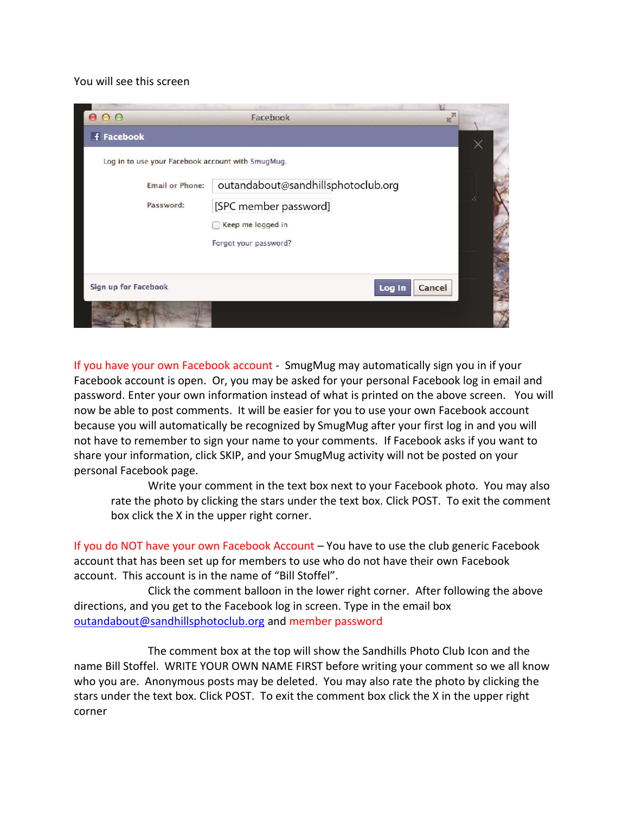#### You will see this screen

| 000                                               | Facebook<br>$\mathbb{E}$           |    |  |
|---------------------------------------------------|------------------------------------|----|--|
| f Facebook                                        |                                    |    |  |
| Log in to use your Facebook account with SmugMug. |                                    |    |  |
| <b>Email or Phone:</b>                            | outandabout@sandhillsphotoclub.org |    |  |
| Password:                                         | [SPC member password]              | B. |  |
|                                                   | Keep me logged in                  |    |  |
|                                                   | Forgot your password?              |    |  |
|                                                   |                                    |    |  |
| Sign up for Facebook                              | Cancel<br>Log In                   |    |  |
|                                                   |                                    |    |  |

If you have your own Facebook account - SmugMug may automatically sign you in if your Facebook account is open. Or, you may be asked for your personal Facebook log in email and password. Enter your own information instead of what is printed on the above screen. You will now be able to post comments. It will be easier for you to use your own Facebook account because you will automatically be recognized by SmugMug after your first log in and you will not have to remember to sign your name to your comments. If Facebook asks if you want to share your information, click SKIP, and your SmugMug activity will not be posted on your personal Facebook page.

Write your comment in the text box next to your Facebook photo. You may also rate the photo by clicking the stars under the text box. Click POST. To exit the comment box click the X in the upper right corner.

If you do NOT have your own Facebook Account – You have to use the club generic Facebook account that has been set up for members to use who do not have their own Facebook account. This account is in the name of "Bill Stoffel".

Click the comment balloon in the lower right corner. After following the above directions, and you get to the Facebook log in screen. Type in the email box [outandabout@sandhillsphotoclub.org](mailto:outandabout@sandhillsphotoclub.org) and member password

The comment box at the top will show the Sandhills Photo Club Icon and the name Bill Stoffel. WRITE YOUR OWN NAME FIRST before writing your comment so we all know who you are. Anonymous posts may be deleted. You may also rate the photo by clicking the stars under the text box. Click POST. To exit the comment box click the X in the upper right corner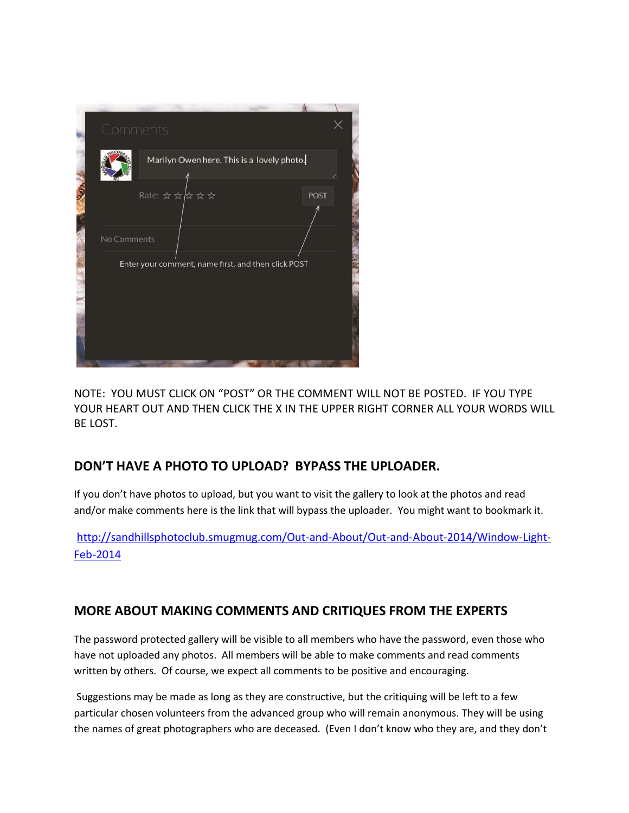

NOTE: YOU MUST CLICK ON "POST" OR THE COMMENT WILL NOT BE POSTED. IF YOU TYPE YOUR HEART OUT AND THEN CLICK THE X IN THE UPPER RIGHT CORNER ALL YOUR WORDS WILL BE LOST.

# **DON'T HAVE A PHOTO TO UPLOAD? BYPASS THE UPLOADER.**

If you don't have photos to upload, but you want to visit the gallery to look at the photos and read and/or make comments here is the link that will bypass the uploader. You might want to bookmark it.

[http://sandhillsphotoclub.smugmug.com/Out-and-About/Out-and-About-2014/Window-Light-](http://sandhillsphotoclub.smugmug.com/Out-and-About/Out-and-About-2014/Window-Light-Feb-2014)[Feb-2014](http://sandhillsphotoclub.smugmug.com/Out-and-About/Out-and-About-2014/Window-Light-Feb-2014)

# **MORE ABOUT MAKING COMMENTS AND CRITIQUES FROM THE EXPERTS**

The password protected gallery will be visible to all members who have the password, even those who have not uploaded any photos. All members will be able to make comments and read comments written by others. Of course, we expect all comments to be positive and encouraging.

Suggestions may be made as long as they are constructive, but the critiquing will be left to a few particular chosen volunteers from the advanced group who will remain anonymous. They will be using the names of great photographers who are deceased. (Even I don't know who they are, and they don't